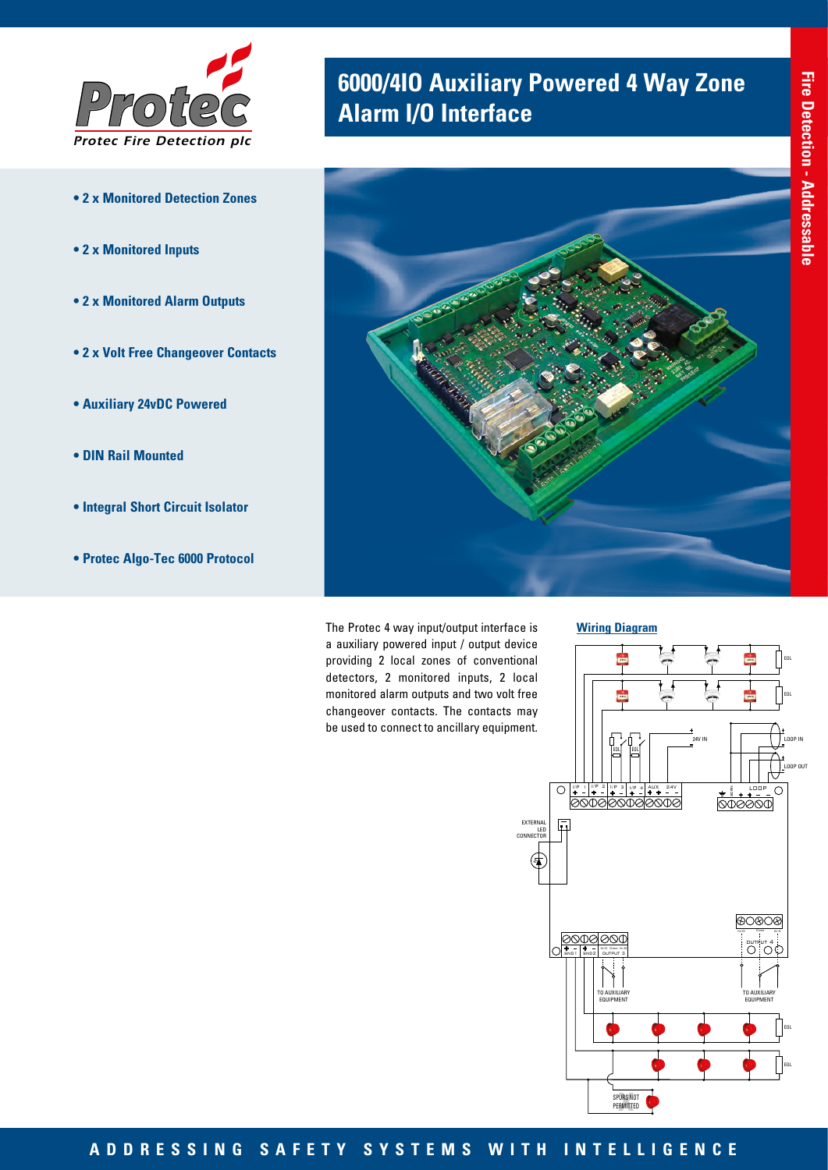

- **2 x Monitored Detection Zones**
- **2 x Monitored Inputs**
- **2 x Monitored Alarm Outputs**
- **2 x Volt Free Changeover Contacts**
- **Auxiliary 24vDC Powered**
- **DIN Rail Mounted**
- **Integral Short Circuit Isolator**
- **Protec Algo-Tec 6000 Protocol**

## **6000/4IO Auxiliary Powered 4 Way Zone Alarm I/O Interface**



The Protec 4 way input/output interface is a auxiliary powered input / output device providing 2 local zones of conventional detectors, 2 monitored inputs, 2 local monitored alarm outputs and two volt free changeover contacts. The contacts may be used to connect to ancillary equipment.



**Wiring Diagram**

## **ADDRESSING SAFETY SYSTEMS WITH INTELLIGENCE**